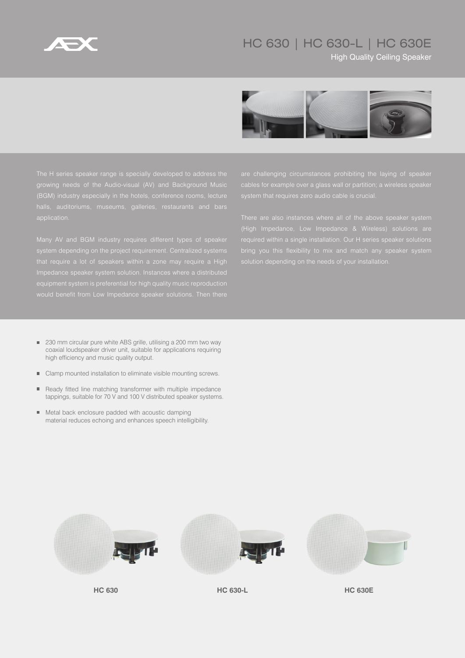

## HC 630 | HC 630-L | HC 630E

**High Quality Ceiling Speaker** 



- 230 mm circular pure white ABS grille, utilising a 200 mm two way coaxial loudspeaker driver unit, suitable for applications requiring high efficiency and music quality output.
- Clamp mounted installation to eliminate visible mounting screws.
- Ready fitted line matching transformer with multiple impedance  $\blacksquare$ tappings, suitable for 70 V and 100 V distributed speaker systems.
- Metal back enclosure padded with acoustic damping  $\blacksquare$ material reduces echoing and enhances speech intelligibility.



**HC 630 HC 630-L HC 630E**